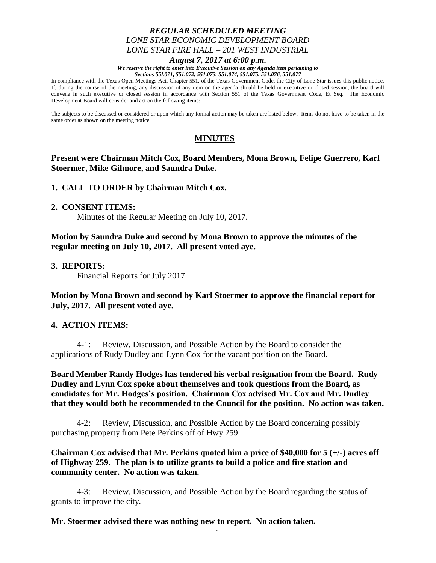# *REGULAR SCHEDULED MEETING LONE STAR ECONOMIC DEVELOPMENT BOARD LONE STAR FIRE HALL – 201 WEST INDUSTRIAL*

#### *August 7, 2017 at 6:00 p.m.*

*We reserve the right to enter into Executive Session on any Agenda item pertaining to Sections 55l.071, 551.072, 551.073, 551.074, 551.075, 551.076, 551.077*

In compliance with the Texas Open Meetings Act, Chapter 551, of the Texas Government Code, the City of Lone Star issues this public notice. If, during the course of the meeting, any discussion of any item on the agenda should be held in executive or closed session, the board will convene in such executive or closed session in accordance with Section 551 of the Texas Government Code, Et Seq. The Economic Development Board will consider and act on the following items:

The subjects to be discussed or considered or upon which any formal action may be taken are listed below. Items do not have to be taken in the same order as shown on the meeting notice.

# **MINUTES**

## **Present were Chairman Mitch Cox, Board Members, Mona Brown, Felipe Guerrero, Karl Stoermer, Mike Gilmore, and Saundra Duke.**

### **1. CALL TO ORDER by Chairman Mitch Cox.**

#### **2. CONSENT ITEMS:**

Minutes of the Regular Meeting on July 10, 2017.

**Motion by Saundra Duke and second by Mona Brown to approve the minutes of the regular meeting on July 10, 2017. All present voted aye.**

### **3. REPORTS:**

Financial Reports for July 2017.

**Motion by Mona Brown and second by Karl Stoermer to approve the financial report for July, 2017. All present voted aye.**

## **4. ACTION ITEMS:**

4-1: Review, Discussion, and Possible Action by the Board to consider the applications of Rudy Dudley and Lynn Cox for the vacant position on the Board.

**Board Member Randy Hodges has tendered his verbal resignation from the Board. Rudy Dudley and Lynn Cox spoke about themselves and took questions from the Board, as candidates for Mr. Hodges's position. Chairman Cox advised Mr. Cox and Mr. Dudley that they would both be recommended to the Council for the position. No action was taken.**

4-2: Review, Discussion, and Possible Action by the Board concerning possibly purchasing property from Pete Perkins off of Hwy 259.

**Chairman Cox advised that Mr. Perkins quoted him a price of \$40,000 for 5 (+/-) acres off of Highway 259. The plan is to utilize grants to build a police and fire station and community center. No action was taken.**

4-3: Review, Discussion, and Possible Action by the Board regarding the status of grants to improve the city.

#### **Mr. Stoermer advised there was nothing new to report. No action taken.**